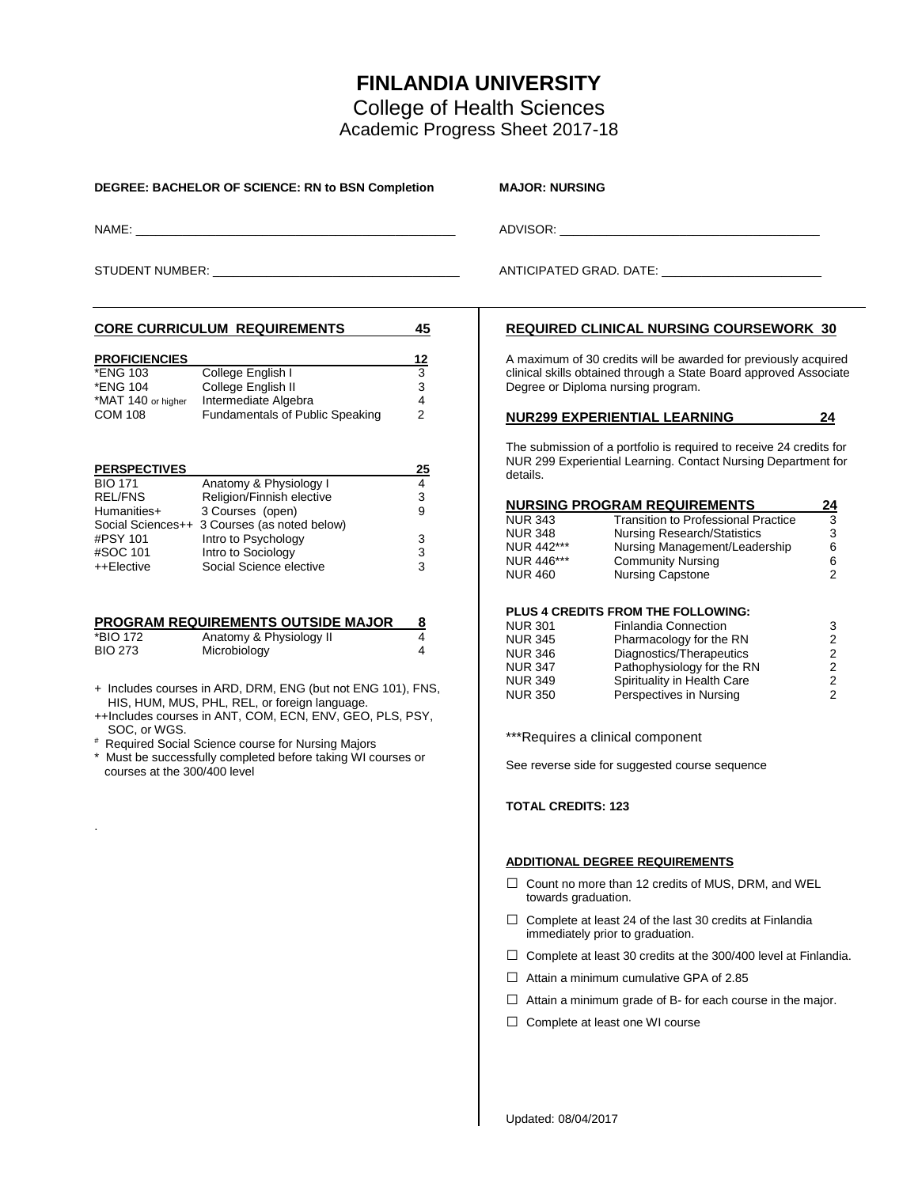## **FINLANDIA UNIVERSITY**

College of Health Sciences Academic Progress Sheet 2017-18

| DEGREE: BACHELOR OF SCIENCE: RN to BSN Completion                                                                                                                                                                                                                                                                                                                                                                                                                                                              |                                                  | <b>MAJOR: NURSING</b>                                                                                                                                                                                                                                                                                                                                                                                                                                                                 |                                                       |  |  |
|----------------------------------------------------------------------------------------------------------------------------------------------------------------------------------------------------------------------------------------------------------------------------------------------------------------------------------------------------------------------------------------------------------------------------------------------------------------------------------------------------------------|--------------------------------------------------|---------------------------------------------------------------------------------------------------------------------------------------------------------------------------------------------------------------------------------------------------------------------------------------------------------------------------------------------------------------------------------------------------------------------------------------------------------------------------------------|-------------------------------------------------------|--|--|
|                                                                                                                                                                                                                                                                                                                                                                                                                                                                                                                |                                                  | ADVISOR: ADVISOR:                                                                                                                                                                                                                                                                                                                                                                                                                                                                     |                                                       |  |  |
|                                                                                                                                                                                                                                                                                                                                                                                                                                                                                                                |                                                  | ANTICIPATED GRAD. DATE: _________________________                                                                                                                                                                                                                                                                                                                                                                                                                                     |                                                       |  |  |
| <b>CORE CURRICULUM REQUIREMENTS</b>                                                                                                                                                                                                                                                                                                                                                                                                                                                                            | 45                                               | <b>REQUIRED CLINICAL NURSING COURSEWORK 30</b>                                                                                                                                                                                                                                                                                                                                                                                                                                        |                                                       |  |  |
| <b>PROFICIENCIES</b><br>College English I<br>*ENG 103<br>College English II<br>*ENG 104<br>Intermediate Algebra<br>*MAT 140 or higher<br>Fundamentals of Public Speaking<br><b>COM 108</b>                                                                                                                                                                                                                                                                                                                     | 12<br>$\overline{3}$<br>3<br>4<br>$\overline{2}$ | A maximum of 30 credits will be awarded for previously acquired<br>clinical skills obtained through a State Board approved Associate<br>Degree or Diploma nursing program.                                                                                                                                                                                                                                                                                                            |                                                       |  |  |
| <b>PERSPECTIVES</b><br>Anatomy & Physiology I<br><b>BIO 171</b><br>Religion/Finnish elective<br><b>REL/FNS</b><br>3 Courses (open)<br>Humanities+<br>Social Sciences++ 3 Courses (as noted below)<br>Intro to Psychology<br>#PSY 101<br>Intro to Sociology<br>#SOC 101                                                                                                                                                                                                                                         | <u>25</u><br>4<br>3<br>9<br>3<br>3               | <u>NUR299 EXPERIENTIAL LEARNING</u><br>The submission of a portfolio is required to receive 24 credits for<br>NUR 299 Experiential Learning. Contact Nursing Department for<br>details.<br><b>NURSING PROGRAM REQUIREMENTS</b><br><b>Transition to Professional Practice</b><br><b>NUR 343</b><br><b>NUR 348</b><br><b>Nursing Research/Statistics</b><br>NUR 442***<br>Nursing Management/Leadership<br><b>Community Nursing</b><br>NUR 446***                                       | 24<br><u>24</u><br>3<br>3<br>6<br>6                   |  |  |
| Social Science elective<br>++Elective<br><b>PROGRAM REQUIREMENTS OUTSIDE MAJOR</b><br>Anatomy & Physiology II<br>*BIO 172<br>Microbiology<br><b>BIO 273</b><br>+ Includes courses in ARD, DRM, ENG (but not ENG 101), FNS,<br>HIS, HUM, MUS, PHL, REL, or foreign language.<br>++Includes courses in ANT, COM, ECN, ENV, GEO, PLS, PSY,<br>SOC, or WGS.<br># Required Social Science course for Nursing Majors<br>* Must be successfully completed before taking WI courses or<br>courses at the 300/400 level | 3<br><u>8</u><br>4<br>4                          | <b>Nursing Capstone</b><br>NUR 460<br><b>PLUS 4 CREDITS FROM THE FOLLOWING:</b><br><b>NUR 301</b><br><b>Finlandia Connection</b><br><b>NUR 345</b><br>Pharmacology for the RN<br>Diagnostics/Therapeutics<br>NUR 346<br>Pathophysiology for the RN<br><b>NUR 347</b><br>Spirituality in Health Care<br><b>NUR 349</b><br>Perspectives in Nursing<br><b>NUR 350</b><br>***Requires a clinical component<br>See reverse side for suggested course sequence<br><b>TOTAL CREDITS: 123</b> | $\overline{2}$<br>3<br>2<br>2<br>$\sqrt{2}$<br>2<br>2 |  |  |
|                                                                                                                                                                                                                                                                                                                                                                                                                                                                                                                |                                                  | <b>ADDITIONAL DEGREE REQUIREMENTS</b><br>$\Box$ Count no more than 12 credits of MUS, DRM, and WEL<br>towards graduation.<br>$\Box$ Complete at least 24 of the last 30 credits at Finlandia<br>immediately prior to graduation.<br>$\Box$ Complete at least 30 credits at the 300/400 level at Finlandia.<br>Attain a minimum cumulative GPA of 2.85<br>⊔<br>Attain a minimum grade of B- for each course in the major.<br>Complete at least one WI course<br>ப                      |                                                       |  |  |